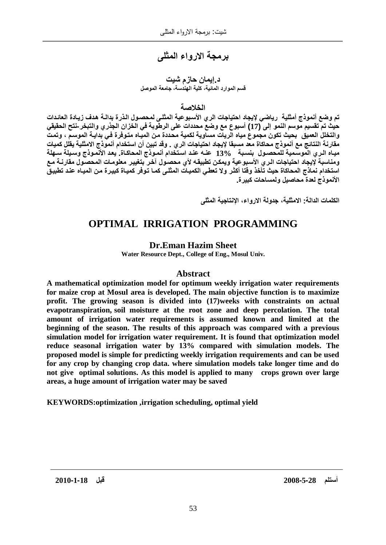# برمجة الارواء المثل*ى*

### **د إيمان حازم شيت** قسم الموارد المائية، كلية الهندسة، جامعة الموصل

### الخلاصة

تم وضع أنموذج أمثلية رياضي لايجاد احتياجات الري الأسبوعية المثلي لمحصول الذرة بدالـة هدف زيـادة العائدات حيث تم تقسيم موسم النمو إلى 17J) أسبوع مع وضع محددات على الرطوبة في الخزان الجذري والتبخر-نتح الحقيقي والتخلل العميق بحيث تكون مجموع مياه الريات مساوية لكمية محددة من المياه متوفرة ف*ي* بدايـة الموسم ، وتمت مقارنـة النتائـج مـع أنموذج مـحاكاة مـعّد مسبقا لإيجاد احتياجات الر ي <sub>-</sub> وقد تبين أن استخدام أنموذج الامثلية يقلل كميات ميـاه الـرى الموسّمية للمّحصـول بنسـبة 13% عنـه عنـد استخدام أنمـوذج المحاكـاة. يعد الأنّمـوذج وسـيلة سـهلة ومناسبة لإيجاد احتياجات الـري الأسبوعية ويمكن تطبيقـه لأي محصـول آخـر بتغيير معلومـات المحصـول مقارنــة مـع استخدام نماذج المحاكاة حيث تأخذ وقتا أكثر ولا تعطي الكميـات المثلـى كمـا توفر كميـاة كبيرة مـن الميـاه عنـد تطبيق **الأنموذج لعدة محاصيل ولمساحات كبيرة.** 

الكلمات الدالة: الامثلية، جدولة الارواع، الانتاجية المثلي

## **OPTIMAL IRRIGATION PROGRAMMING**

### **Dr.Eman Hazim Sheet**

**Water Resource Dept., College of Eng., Mosul Univ.**

### **Abstract**

**A mathematical optimization model for optimum weekly irrigation water requirements for maize crop at Mosul area is developed. The main objective function is to maximize profit. The growing season is divided into (17)weeks with constraints on actual evapotranspiration, soil moisture at the root zone and deep percolation. The total amount of irrigation water requirements is assumed known and limited at the beginning of the season. The results of this approach was compared with a previous simulation model for irrigation water requirement. It is found that optimization model reduce seasonal irrigation water by 13% compared with simulation models. The proposed model is simple for predicting weekly irrigation requirements and can be used for any crop by changing crop data. where simulation models take longer time and do not give optimal solutions. As this model is applied to many crops grown over large areas, a huge amount of irrigation water may be saved**

**KEYWORDS:optimization ,irrigation scheduling, optimal yield**

**2010 -1-18 ϝΑ˲ϗ 2008 -5-28 ϡϠΗγ**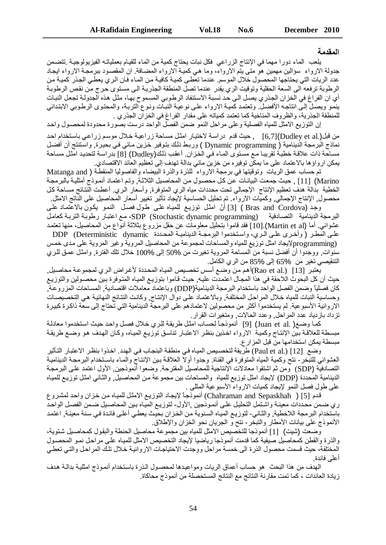#### المقدمة

يلعب الماء دورا مهما في الإنتاج الزراعي فكل نبات يحتاج كمية من الماء للقيام بعملياته الفيزيولوجية .تتضمن جدولة الارواء سؤالين مهمين هو متى يتم الارواء، وما هي كميـة الارواء المضـافة. ان المقصـود ببرمجـة الارواء ايجـاد عدد الريات التي يحتاجها المحصول خلال الموسم. عندما تعطى كميـة كافيـة مـن المـاء فـان الـري يعطـي الـجـذر كميـة مـن الرطوبة ترفعه الى السعة الحقلية وتوقيت الري يقدر عندما تصل المنطقة الجذرية الى مستوى حرج من نقص الرطوبة أي ان الفراغ في الخزان الجذري يصل الى حد نسبة الاستنفاد الرطوبي المسموح بها، مثل هذه الجدولـة تجعل النبـات ينمو ويصلّ إلى انتاجه الأفضل وتعتمد كمية الارواء على نوعية النبـآت ونوع التربـة، والمحتوى الرطـوبي الابتدائي للمنطقة الجذرية، والظروف المناخية كما تعتمد كمياته على مقدار الفراغ في الخزان الجذري .

إن التوزيع الامثل للمياه الفصلية وعلى مراحل النمو ضمن الفصل الواحد درست بصورة محدودة لمحصول واحد من قبل(.Dudley et al) [6,7] بحيث قدم دراسة لاختيار امثل مساحة زراعية خلال موسم زراعي باستخدام احد نماذج البرمجة الدينامية ( Dynamic programming ) وربط ذلك بتوفير خزين مـائي فـي بحيرة, واستنتج أن أفضل مساحة ذات علاقة خطية تقريبا مع مستوى الماء في الخزان. أعقب ذلك(Dudley) [8] بدراسة لتحديد امّثل مساحة يمكن ارواؤها بالاعتماد على ما يمكّن توفيره من خزينٌ مائي بدالة تهدف إلى تعظيم العائد الاقتصادي.

تم حساب عمق الريات وتوقيتها في برمجة الارواء للذرة والذرة البيضاء والفاصوليا المنقطـة ( Matanga and Marino) [11] . حيث جمعت البيانـات عن كل محصـول من المحاصـيل الثلاثـة. وتـم اعتمـاد أنمـو ذج أمثليـة بالبر مجـة الخطية بدالة هدف تعظيم الإنتاج الإجمالي تحت محددات مياه الري المتوفرة, وأسعار الري. أعطت النتائج مساحة كل محصول الإنتاج الإجمالي وكميات الارواء تم تحليل الحساسية لإيجاد تأثير تغيير أسعار المحاصيل على الناتج الامثل.

وجد (Bras and Cordova ) [3] أنّ امثل توزيع للمياه على طول فصل النمو يكون بالاعتماد علـي البرمجة الدينامية التصـادفية (SDP (Stochastic dynamic programming) مع اعتبار رطوبة التربـة كعامل عشوائي. أما (Martin et al).[10] فقد قاموا بتحليل معلومات عن حقل مزروع بثلاثة أنواع من المحاصيل، منها تعتمد على المطر ( وأخرى على الري، واستخدموا البرمجـة الديناميـة المحـددة DDP (Deterministic dynamic

γρτοgramming)لإيجاد امثل توزيع للمياه والمساحات لمجموعة من المحاصيل المروية وغير المروية على مدى خمس سنوات, ووجدوا أن أفضل نسبة من المساحة المروية نغيرت من 50% إلى %100 خلال نلك الفترة, وامثل عمق للري التنقيصـي تغير من 65% إلى 85% من الري الكامل.

يعتبر [13] (Rao et al.)أهم من وضع أسس تخصيص المياه المحددة لأغراض الري لمجموعة محاصيل. حيث أن كل البحوث اللاحقة في هذا المجال اعتمدت عليه, حيث قاموا بتوزيع المياه المتوفرة بين محصىولين والتوزيع كان فصلياً وضمن الفصل الواحد باستخدام البرمجة الدينامية(DDP) وباعتماد معاملات اقتصادية, المساحات المزروعة, وحساسية النبات للمياه خلال المراحل المختلفة, وبالاعتماد على دوال الإنتـاج, وكانت النتـائج النهائيـة هي التخصيصـات الاروائية الأسبوعية. لم يستخدموا أكثر من محصولين لاعتمادهم على البرمجة الدينامية التي تحتاج إلى سعة ذاكرة كبيرة تز داد باز دياد عدد العر احل و عدد الحالات و متغير ات القر ار

كما وضع( .Juan et al) [9] أنموذجاً لحساب امثل طريقة للري خلال فصل واحد حيث استخدموا معادلة مبسطة للعلاقة بين الإنتاج وكمية الارواء اخذين بنظر الاعتبار تناسق توزيع المياه، وكان الهدف هو وضع طريقة مبسطة يمكن استخدامها من قبل المزار ع.

وضع [12] Paul et al.) طريقة لتخصيص المياه في منطقة البنجاب في الهند. اخذوا بنظر الاعتبار التأثير العشوائي للتبخر - نتح وكمية المياه المتوفرة في القناة. وجدوا أولا العلاقة بين الإنتاج والمـاء باسـتخدام البرمجـة الديناميـة التصادفية (SDP) ومن ثم اشتقوا معادلات الإنتاجية للمحاصيل المقترحة. وضعوا أنموذجين, الأول اعتمد على البرمجة الدينامية المحددة (DDP) لإيجاد امثل توزيع للمياه والمساحات بين مجموعة من المحاصيل, والثـانـي امثل توزيـع للميـاه على طول فصل النمو لإيجاد كميات الارواء الأسبوعية المثلى .

قدم [5] ( Chahraman and Sepaskhah) أنموذجاً لإيجاد التوزيع الامثل للمياه من خزان واحد لمشروع ري ضمن محددات معينـة واشتمل التحليل علـي أنمـوذجين ,الأول- لتوزيـع الميـاه بـين المحاصـيل ضـمن الفصـل الواحـد باستخدام البرمجة اللاخطية, والثاني- لتوزيع المياه السنوية من الخزان بحيث يعطي أعلى فائدة في سنة معينة, اعتمد الأنموذج على بيانات الأمطار والتبخر - نتح و الجريان نحو الخز ان والإطلاق.

وضعت (شيت) [1] أنموذجا للتخصيص الامثل للمياه بين مجموعة محاصيل الحنطة والبقول كمحاصيل شتوية، والذرة والقطن كمحاصيل صيفية كما قدمت أنموذجا رياضيا لإيجاد التخصيص الامثل للمياه على مراحل نمو المحصول المختلفة، حيث قسمت محصول الذرة الى خمسة مراحل ووجدت الاحتياجات الاروائية خلال تلك المراحل والتي تعطي أعلى فائدة.

الهدف من هذا البحث ٍ هو حساب أعماق الريات ومواعيدها لمحصـول الذرة باستخدام أنمـوذج امثليـة بدالـة هدف زيادة العائدات ، كما تمت مقارنة النتائج مع النتائج المستحصلة من أنموذج محاكاة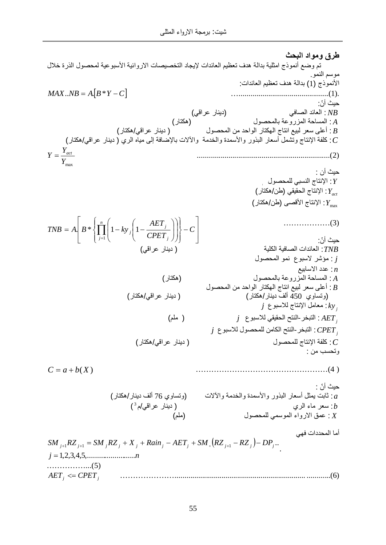طرق ومواد البحث تم وضع أنموذج امثلية بدالة هدف تعظيم العائدات لإيجاد التخصيصات الاروائية الأسبوعية لمحصول الذرة خلال مو سم النمو . الأنموذج (1) بدالة هدف تعظيم العائدات:  $MAX..NB = A[B*Y-C]$  [2004] حبث أنّ: دينار عراقي) (دينار عراقي) *NB* (هكتار) من المساحة المزروعة بالمحصول (هكتار) <u>.</u> A و: أعلـي سعر لبيع انتاج الـهكتار الواحد من المحصـول ( دينـار عراقـي/هكتار) : B ز كلفة الإنتاج وتشمل أسعار البذور والأسمدة والخدمة والألات بالإضافة إلى مياه الري ( دينار عراقي/هكتار) : c *Y*max  $Y = \frac{Y_{act}}{Y}$  ....................................................................(2) حيث أن : *i* ϝϭλΣϣϠϟϲΑγϧϟΝΎΗϧϹ :*Y*  $Y_{act}$  (الإنتاج الحقيقى (طن/هكتار)  $Y_{\rm max}$ : الإنتاج الأقصى (طن/هكتار) ………………(3) حبث أنّ: (دينار عراقي) **(م**زينار عراقي) ) من المائية الكلية الكلية المائية الكلية المائية *(* ϝϭλΣϣϟϭϣϧ ωϭΑγϻέη΅ϣ : *j*  $n$ : عدد الاسابيع (έΎΗϛϫ) ϝϭλΣϣϟΎΑΔϋϭέίϣϟΔΣΎγϣϟ : *A* ه : أعلى سعر لبيع انتاج الـهكتار الواحد من المحصـول : B (وتساوي 450 ألف دينار/هكتار) ( دينار عراقي/هكتار) ز معامل الإنتاج للاسبوع *j* . *AET<sup>j</sup>* (ϡϠϣ ) *j* ωϭΑγϼϟϲϘϳϘΣϟΗϧϟ-έΧΑΗϟ :  $j$  غرم -النقح الكامن للمحصول للاسبوع *j* و *CPET* (έΎΗϛϫ/ϲϗέϋέΎϧϳΩ ) ϝϭλΣϣϠϟΝΎΗϧϹΔϔϠϛ :*C* وتحسب من : ……………………………………………(4 ) حيث أنّ : : ثابت يمثل أسعار البذور والأسمدة والخدمة والألات (وتساوي 76 ألف دينار/هكذار) : a ϡ/ϲϗέϋέΎϧϳΩ ) ϱέϟ˯Ύϣέόγ :*b*  $\int_0^3$ (ϡϠϣ) ϝϭλΣϣϠϟϲϣγϭϣϟ˯ϭέϻϕϣϋ : *X* أما المحددات فهي  $SM_{j+1}RZ_{j+1} = SM_{j}RZ_{j} + X_{j} + Rain_{j} - AET_{j} + SM_{s}(RZ_{j+1} - RZ_{j}) - DP_{j}...$ *j n* 1,2,3,4,5,......................... ……………...(5)  $AET$ <sup>*j*</sup>  $\leq$  *CPET*<sup>*j*</sup> …………………................................................................... ............(6) » »  $\overline{\phantom{a}}$ º  $\mathsf{L}$  $\overline{ }$  $\mathsf L$  $\mathbf{r}$  $\overline{a}$  $\int$  $\overline{\phantom{a}}$  $\left\{ \right\}$  $\vert$  $\overline{\mathcal{L}}$  $\vert$ {  $\left($  $\overline{\phantom{a}}$ ¸  $\overline{\phantom{a}}$ · ¨ ¨  $\overline{\mathcal{C}}$ §  $\overline{\phantom{a}}$  $\overline{\phantom{a}}$ ¹ · ¨ ¨  $\overline{\mathcal{C}}$  $= A \left| B^* \right| \prod_{j=1}^n \left( 1 - k y_j \right) \left( 1 - \right)$ *C CPET AET*  $TNB = A$ ,  $B * \{ \mid 1 - ky \}$ *n*  $j=1$   $\left($   $\left($   $\left($   $\left($   $\left($   $\left($   $\left($   $\left($   $\left($   $\left($   $\left($   $\left($   $\left($   $\left($   $\left($   $\left($   $\left($   $\left($   $\left($   $\left($   $\left($   $\left($   $\left($   $\left($   $\left($   $\left($   $\left($   $\left($   $\left($   $\right)$   $\right)$   $\right)$   $\right)$   $\right)$   $\right)$   $\right)$ *j j* 1  $\left| \begin{array}{c} B^* \end{array} \right|$  1 - ky  $\left| \begin{array}{c} 1 \end{array} \right|$  $C = a + b(X)$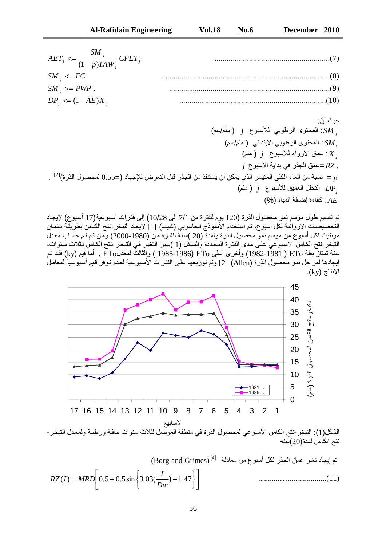| $AET_j \leq \frac{SM_j}{(1-p)TAW_j}CPET_j$ |  |
|--------------------------------------------|--|
| $SM_{i} \leq FC$                           |  |
| $SM_{i} \geq PWP$ .                        |  |
| $DP_j \leq (1 - AE)X_j$                    |  |

حيث أنّ: *j* (ϡγ/ϡϠϣ ) *j* ωϭΑγϸϟ ϲΑϭρέϟϯϭΗΣϣϟ : *SM* ج *SM :* المحتوى الرطوبي الابتدائي ( ملم/سم)  $\left( \right.$  غمق الارواء للأسبوع  $\left. j\right.$  ( ملم ) :  $X_{\left. j\right. }$  $j$  حمق الجذر في بداية الأسبو ع $RZ_{_{_{J}}}$ نسبة من الماء الكلي المتيسر الذي يمكن أن يستنفذ من الجذر قبل التعرض للإجهاد (=0.55 لمحصول الذرة)<sup>[2]</sup> .  $\rho$ و : التخلل العميق للأسبوع *j* ( ملم) : (%)ϩΎϳϣϟΔϓΎο·Γ˯Ύϔϛ : *AE*

تم تقسيم طول موسم نمو محصول الذرة (120 يوم للفترة من 7/1 الى 28/10) إلى فترات أسبو عية(17 أسبوع) لإيجاد التخصيصات الاروائية لكل أسبو ع، تم استخدام الأنموذج الحاسوبي (شيت) [1] لإيجاد التبخر -نتح الكامن بطريقة بينمان مونتيث لكل أسبوع من موسم نمو محصول الذرة ولمدة (20 )سنة للفترة من (1980-2000) ومن ثم تم حساب معدل التبخر -نتح الكـامن الاسبوعي علـى مدى الفترة المحددة والشكل (1 )يبين التغير فـي التبخر -نتح الكـامن لـثلاث سنوات، سنة تمتاز بقلة ETo ( 1981-1982) وأخرى أعلى ETo (1986-1985 ) والثالث لمعدلETo . أما قيم (ky) فقد تم إيجادها لمر احل نمو محصول الذرة (Allen) [2] وتم توزيعها على الفتر ات الأسبوعية لعدم توفر قيم أسبوعية لمعامل  $(ky)$  الإنتاج



نتح الكامن لمدة(20)سنة

(Borg and Grimes)  $^{[4]}$  تم إيجاد تغير عمق الجذر لكل أسبو ع من معادلة

$$
RZ(I) = MRD\left[0.5 + 0.5\sin\left\{3.03(\frac{I}{Dm}) - 1.47\right\}\right]
$$
.................(11)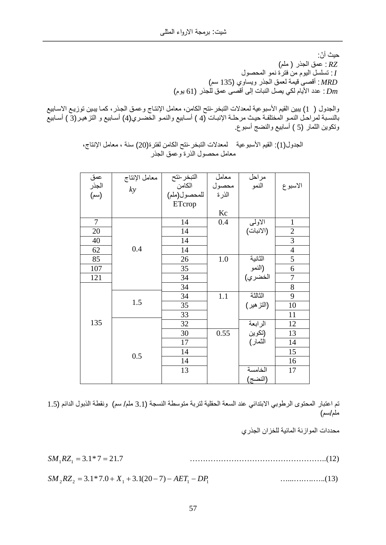حيث أنّ: عمق الجذر ( ملم) : *RZ* و : تسلسل اليوم من فترة نمو المحصول **:** (ϡγ 135)ϱϭΎγϳϭέΫΟϟϕϣόϟΔϣϳϗϰλϗ : *MRD* ر : عدد الأيام أك<sub>ى</sub> بصل النبات إلى أقصى عمق للجذر (61) يوم)

والجدول ( 1) يبين القيم الأسبوعية لمعدلات التبخر -نتح الكامن، معامل الإنتـاج وعمـق الجـذر ، كمـا يبـين توزيـع الإسـابيع توم استشار المختلفة حيث مرحلـة الإنبـات (4 ) أسـابيع والنمـو الخضـري(4) أسـابيع و التزهيـر(3 ) أسـابيع ( وتكوين الثمار (5 ) أسابيع والنضج أسبوع.

| عمق<br>المجذر<br>(سم) | معامل الإنتاج | التبخر-نتح<br>الكامن<br>للمحصول(ملم) | معامل | مراحل                        |                |
|-----------------------|---------------|--------------------------------------|-------|------------------------------|----------------|
|                       | ky            |                                      | محصول | النمو                        | الاسبوع        |
|                       |               |                                      | الذرة |                              |                |
|                       |               | ETcrop                               |       |                              |                |
|                       |               |                                      | Kc    |                              |                |
| $\tau$                |               | 14                                   | 0.4   | الاولىي                      | $\mathbf{1}$   |
| 20                    |               | 14                                   |       | (الانبات)                    | $\sqrt{2}$     |
| 40                    |               | 14                                   |       |                              | $\overline{3}$ |
| 62                    | 0.4           | 14                                   |       |                              | $\overline{4}$ |
| 85                    |               | 26                                   | 1.0   | الثانية<br>(النمو<br>الخضري) | 5              |
| 107                   |               | 35                                   |       |                              | 6              |
| 121                   |               | 34                                   |       |                              | $\overline{7}$ |
|                       |               | 34                                   |       |                              | 8              |
|                       |               | 34                                   | 1.1   | الثالثة                      | 9              |
|                       | 1.5           | 35                                   |       | (النز هير)                   | 10             |
|                       |               | 33                                   |       |                              | 11             |
| 135                   |               | 32                                   |       | الرابعة                      | 12             |
|                       |               | 30                                   | 0.55  | (تكوين<br>الثمار)            | 13             |
|                       |               | 17                                   |       |                              | 14             |
|                       |               | 14                                   |       |                              | 15             |
|                       | 0.5           | 14                                   |       |                              | 16             |
|                       |               | 13                                   |       | الخامسة                      | 17             |
|                       |               |                                      |       | (النضج)                      |                |

الجدول(1): القيم الأسبوعية لمعدلات التبخر ختح الكامن لفترة(20) سنة ، معامل الإنتاج، معامل محصول الذرة وعمق الجذر

تم اعتبار المحتوى الرطوبي الابتدائي عند السعة الحقلية لتربة متوسطة النسجة (3.1 ملم/ سم) ونقطة الذبول الدائم (1.5 ملم/سم)

محددات المو از نـة المائية للخز ان الجذر ي

3.1\* 7 21.7 *SM*1*RZ*<sup>1</sup> ……………………………………………..(12)

2 2 1 1 1 *SM RZ* 3.1\*7.0 *X* 3.1(20 7) *AET DP* …...….….…..(13)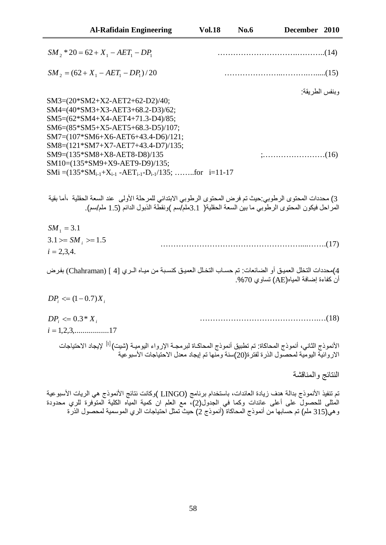| <b>Al-Rafidain Engineering</b> | <b>Vol.18</b> | <b>No.6</b> | December 2010 |  |
|--------------------------------|---------------|-------------|---------------|--|
|                                |               |             |               |  |

| $SM_{2}$ * 20 = 62 + $X_{1}$ – AET <sub>1</sub> – DP <sub>1</sub>                                            |                                                                                                                                                                                                                       |
|--------------------------------------------------------------------------------------------------------------|-----------------------------------------------------------------------------------------------------------------------------------------------------------------------------------------------------------------------|
| $SM_{2} = (62 + X_{1} - AET_{1} - DP_{1})/20$                                                                |                                                                                                                                                                                                                       |
|                                                                                                              | وبنفس الطريقة:                                                                                                                                                                                                        |
| SM3=(20*SM2+X2-AET2+62-D2)/40;                                                                               |                                                                                                                                                                                                                       |
| SM4=(40*SM3+X3-AET3+68.2-D3)/62;                                                                             |                                                                                                                                                                                                                       |
| SM5=(62*SM4+X4-AET4+71.3-D4)/85;                                                                             |                                                                                                                                                                                                                       |
| SM6= $(85*SM5+X5-AET5+68.3-D5)/107;$                                                                         |                                                                                                                                                                                                                       |
| SM7=(107*SM6+X6-AET6+43.4-D6)/121;                                                                           |                                                                                                                                                                                                                       |
| $SM8=(121*SM7+X7-AET7+43.4-D7)/135;$                                                                         |                                                                                                                                                                                                                       |
| SM9=(135*SM8+X8-AET8-D8)/135                                                                                 |                                                                                                                                                                                                                       |
| SM10=(135*SM9+X9-AET9-D9)/135;                                                                               |                                                                                                                                                                                                                       |
| SMi = $(135 * SM_{i-1} + X_{i-1} - AET_{i-1} - D_{i-1}/135; \dots \dots \dots for \ i=11-17$                 |                                                                                                                                                                                                                       |
| 3) محددات المحتوى الرطوبي:حيث تم فرض المحتوى الرطوبي الابتدائي للمرحلة الأولى  عند السعة الحقلية  ،أما بقية  | المراحل فيكون المحتوى الرطوبي ما بين السعة الحقلية( 3.1ملم/سم )ونقطة الذبول الدائم (1.5 ملم/سم).                                                                                                                      |
| $SM_1 = 3.1$                                                                                                 |                                                                                                                                                                                                                       |
| $3.1 = SM$ , $>= 1.5$                                                                                        |                                                                                                                                                                                                                       |
| $i = 2,3,4.$                                                                                                 |                                                                                                                                                                                                                       |
|                                                                                                              |                                                                                                                                                                                                                       |
| 4)محددات التخلل العميـق أو الضـائعات: تم حسـاب التخـلل العميـق كنسـبـة من ميـاه الــري [4 ] (Chahraman) بفرض | أن كفاءة إضافة المياه(AE) تساوي 70%.                                                                                                                                                                                  |
| $DP_i \leq (1 - 0.7)X_i$                                                                                     |                                                                                                                                                                                                                       |
| $DP_i \leq 0.3 * X_i$                                                                                        |                                                                                                                                                                                                                       |
| $i = 1, 2, 3, \dots, \dots, 17$                                                                              |                                                                                                                                                                                                                       |
|                                                                                                              | الانموذج الثاني، أنموذج المحاكاة: نم نطبيق أنموذج المحاكـاة لبرمجــة الإرواء اليوميــة (شيت) <sup>[1]</sup> لإيجاد الاحتياجات<br>الاروائية اليومية لمحصول الذرة لفترة(20)سنة ومنها تم إيجاد معدل الاحتياجات الأسبوعية |
|                                                                                                              | النتائج والمناقشة                                                                                                                                                                                                     |
|                                                                                                              |                                                                                                                                                                                                                       |

تم تنفيذ الأنموذج بدالة هدف زيادة العائدات، باستخدام برنامج (LINGO )وكانت نتائج الأنموذج هي الريات الأسبوعية المثلي للحصول على أعلى عائدات وكما في الجدول(2)، مع العلم ان كمية المياه الكلية المتوفرة للري محدودة وهي(315 ملم) تم حسابها من أنموذج المحاكاة (أنموذج 2) حيث تمثّل احتياجات الري الموسمية لمحصول الذرة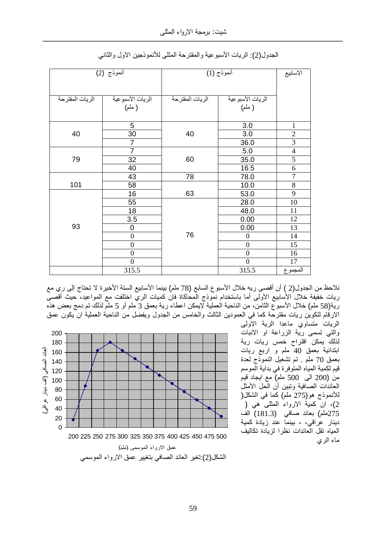|                 | أنموذج (2)                                                           | أنموذج (1)      |                                                                      | الاسابيع                                                  |
|-----------------|----------------------------------------------------------------------|-----------------|----------------------------------------------------------------------|-----------------------------------------------------------|
| الريات المقترحة | الريات الأسبوعية<br>( ملم)                                           | الريات المقترحة | الريات الأسبوعية<br>( ملم)                                           |                                                           |
| 40              | 5<br>30<br>$\overline{7}$                                            | 40              | 3.0<br>3.0<br>36.0                                                   | $\mathbf{1}$<br>$\mathfrak{2}$<br>$\overline{\mathbf{3}}$ |
| 79              | $\overline{7}$<br>32<br>40                                           | 60              | 5.0<br>35.0<br>16.5                                                  | $\overline{4}$<br>5<br>6                                  |
| 101             | 43<br>58                                                             | 78              | 78.0<br>10.0                                                         | $\overline{7}$<br>8                                       |
|                 | 16                                                                   | 63              | 53.0                                                                 | 9                                                         |
| 93              | 55<br>18<br>3.5<br>$\mathbf 0$<br>$\overline{0}$<br>$\boldsymbol{0}$ | 76              | 28.0<br>48.0<br>0.00<br>0.00<br>$\boldsymbol{0}$<br>$\boldsymbol{0}$ | 10<br>11<br>12<br>13<br>14<br>15                          |
|                 | $\boldsymbol{0}$<br>$\mathbf{0}$<br>315.5                            |                 | $\boldsymbol{0}$<br>$\mathbf{0}$<br>315.5                            | 16<br>17<br>المجموع                                       |

الجدول(2): الريات الأسبوعية والمقترحة المثلي للأنموذجين الاول والثاني

نلاحظ من الجدول(2 ) أن أقصىي ريه خلال الأسبوع السابع (78 ملم) بينما الأسابيع السنة الأخيرة لا تحتاج إلى ري مع ريات خفيفة خلال الأسابيع الأولى أما باستخدام نموذج المحاكاة فان كميات الري اختلفت مع المواعيد، حيث أقصى رية(58 ملم) خلال الأسبوع الثامن، من الناحية العملية لايمكن اعطاء رية بعمق 3 ملم أو 5 ملّم لذلك تم دمج بعض هذه الارقام لتكوين ريات مقترحة كما في العمودين الثالث والخامس من الجدول ويفضل من الناحية العملية ان يكون عمق الريات متساوي ماعدا الرية الاولى

والتبي تسمى رية الزراعة او الانبات لذلك يمكن اقتراح خمس ريات رية ابتدائية بعمق 40 ملم و اربع ريات بعمق 70 ملم ٍ تم تشغيل النموذج لعدة قيم لكمية المياه المتوفرة في بداية الموسم من (200 الى 500 ملم) مع ايجاد قيم العائدات الصـافية وتبين أن الَّحل الأمثل للأنموذج هو(275 ملم) كما في الشكل( )، ان كمية الارواء المثلي هي ( 275ملم) بعائد صافي (181.3) الف دينار عراقي، ، بينما عند زيادة كمية المياه تقل العائدات نظر ا لزيادة تكاليف ماء الري